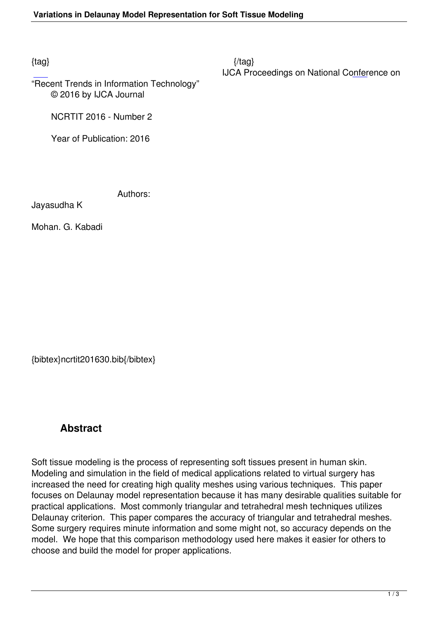$\{tag\}$ IJCA Proceedings on National Conference on

"Recent Trends in Information Technology" © 2016 by IJCA Journal

NCRTIT 2016 - Number 2

Year of Publication: 2016

Authors:

Jayasudha K

Mohan. G. Kabadi

{bibtex}ncrtit201630.bib{/bibtex}

# **Abstract**

Soft tissue modeling is the process of representing soft tissues present in human skin. Modeling and simulation in the field of medical applications related to virtual surgery has increased the need for creating high quality meshes using various techniques. This paper focuses on Delaunay model representation because it has many desirable qualities suitable for practical applications. Most commonly triangular and tetrahedral mesh techniques utilizes Delaunay criterion. This paper compares the accuracy of triangular and tetrahedral meshes. Some surgery requires minute information and some might not, so accuracy depends on the model. We hope that this comparison methodology used here makes it easier for others to choose and build the model for proper applications.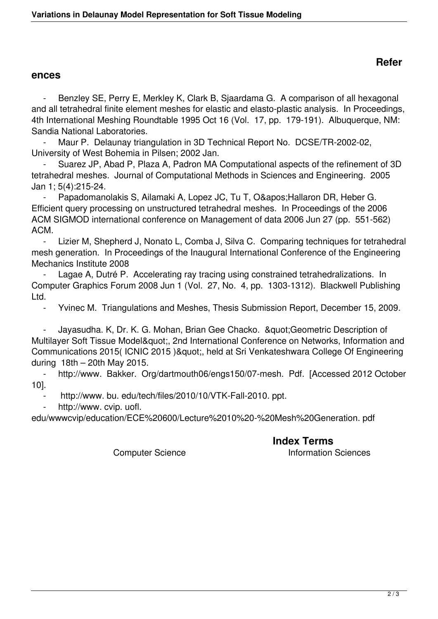## **Refer**

### **ences**

Benzley SE, Perry E, Merkley K, Clark B, Sjaardama G. A comparison of all hexagonal and all tetrahedral finite element meshes for elastic and elasto-plastic analysis. In Proceedings, 4th International Meshing Roundtable 1995 Oct 16 (Vol. 17, pp. 179-191). Albuquerque, NM: Sandia National Laboratories.

Maur P. Delaunay triangulation in 3D Technical Report No. DCSE/TR-2002-02, University of West Bohemia in Pilsen; 2002 Jan.

 - Suarez JP, Abad P, Plaza A, Padron MA Computational aspects of the refinement of 3D tetrahedral meshes. Journal of Computational Methods in Sciences and Engineering. 2005 Jan 1; 5(4):215-24.

Papadomanolakis S, Ailamaki A, Lopez JC, Tu T, O' Hallaron DR, Heber G. Efficient query processing on unstructured tetrahedral meshes. In Proceedings of the 2006 ACM SIGMOD international conference on Management of data 2006 Jun 27 (pp. 551-562) ACM.

 - Lizier M, Shepherd J, Nonato L, Comba J, Silva C. Comparing techniques for tetrahedral mesh generation. In Proceedings of the Inaugural International Conference of the Engineering Mechanics Institute 2008

 - Lagae A, Dutré P. Accelerating ray tracing using constrained tetrahedralizations. In Computer Graphics Forum 2008 Jun 1 (Vol. 27, No. 4, pp. 1303-1312). Blackwell Publishing Ltd.

- Yvinec M. Triangulations and Meshes, Thesis Submission Report, December 15, 2009.

Jayasudha. K, Dr. K. G. Mohan, Brian Gee Chacko. & quot; Geometric Description of Multilayer Soft Tissue Model", 2nd International Conference on Networks, Information and Communications 2015( ICNIC 2015 )& quot;, held at Sri Venkateshwara College Of Engineering during 18th – 20th May 2015.

 - http://www. Bakker. Org/dartmouth06/engs150/07-mesh. Pdf. [Accessed 2012 October 10].

http://www.bu.edu/tech/files/2010/10/VTK-Fall-2010.ppt.

http://www. cvip. uofl.

edu/wwwcvip/education/ECE%20600/Lecture%2010%20-%20Mesh%20Generation. pdf

### **Index Terms**

### Computer Science **Information** Sciences